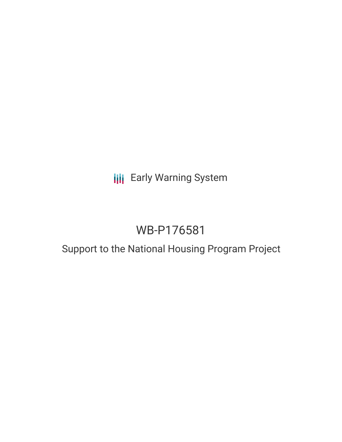## **III** Early Warning System

# WB-P176581

### Support to the National Housing Program Project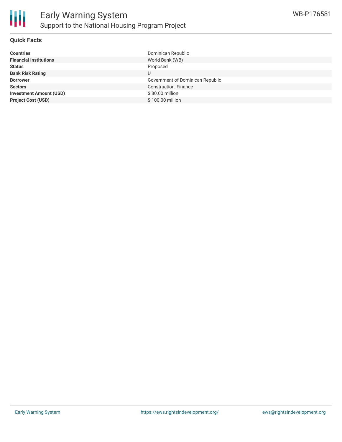

#### **Quick Facts**

| Government of Dominican Republic |
|----------------------------------|
|                                  |
|                                  |
|                                  |
|                                  |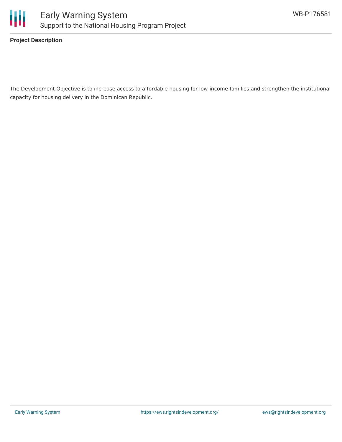

**Project Description**

The Development Objective is to increase access to affordable housing for low-income families and strengthen the institutional capacity for housing delivery in the Dominican Republic.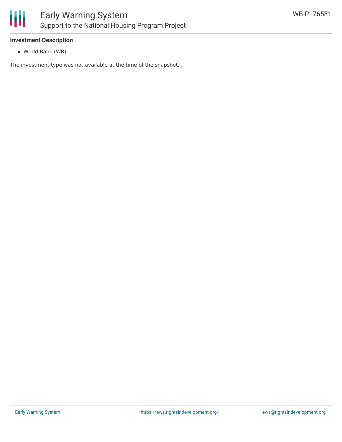

#### **Investment Description**

World Bank (WB)

The investment type was not available at the time of the snapshot.